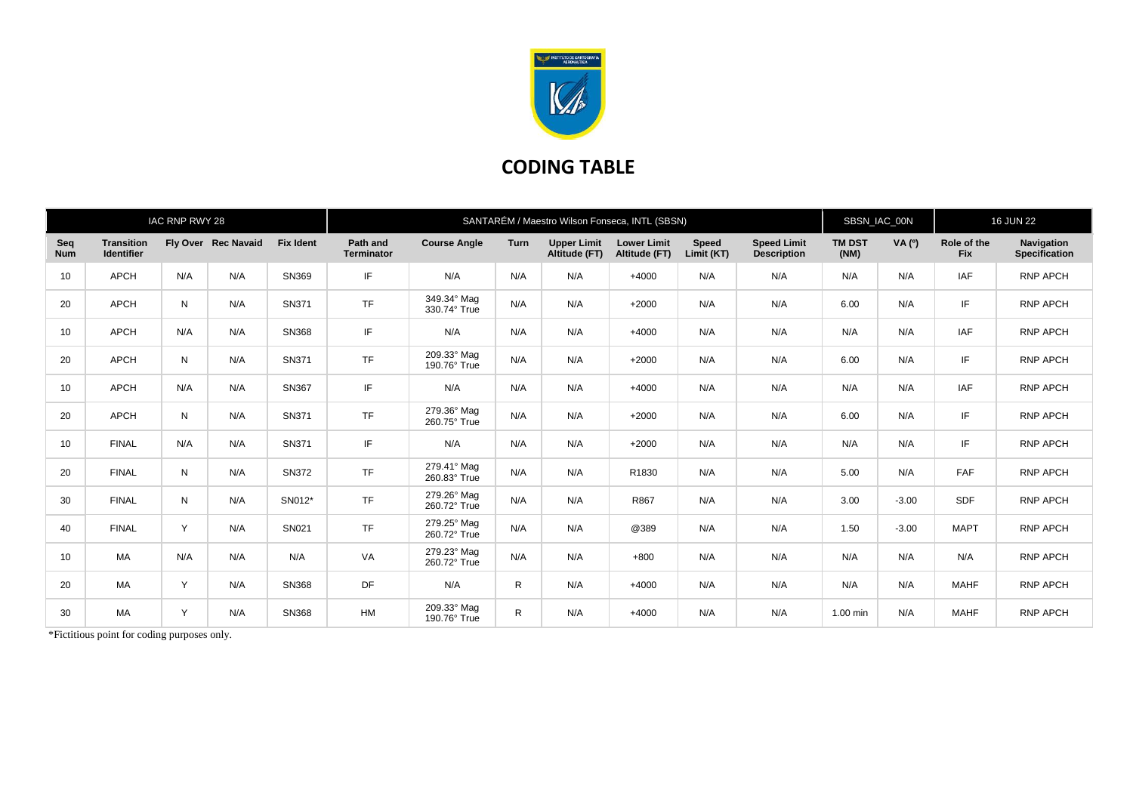

## **CODING TABLE**

| IAC RNP RWY 28    |                                        |     |                     |                  | SANTARÉM / Maestro Wilson Fonseca, INTL (SBSN) |                             |             |                                     |                                     |                     |                                          |                       | SBSN_IAC_00N  |                           | <b>16 JUN 22</b>                          |  |
|-------------------|----------------------------------------|-----|---------------------|------------------|------------------------------------------------|-----------------------------|-------------|-------------------------------------|-------------------------------------|---------------------|------------------------------------------|-----------------------|---------------|---------------------------|-------------------------------------------|--|
| Seq<br><b>Num</b> | <b>Transition</b><br><b>Identifier</b> |     | Fly Over Rec Navaid | <b>Fix Ident</b> | Path and<br><b>Terminator</b>                  | <b>Course Angle</b>         | <b>Turn</b> | <b>Upper Limit</b><br>Altitude (FT) | <b>Lower Limit</b><br>Altitude (FT) | Speed<br>Limit (KT) | <b>Speed Limit</b><br><b>Description</b> | <b>TM DST</b><br>(NM) | <b>VA</b> (0) | Role of the<br><b>Fix</b> | <b>Navigation</b><br><b>Specification</b> |  |
| 10                | <b>APCH</b>                            | N/A | N/A                 | SN369            | IF                                             | N/A                         | N/A         | N/A                                 | $+4000$                             | N/A                 | N/A                                      | N/A                   | N/A           | IAF                       | RNP APCH                                  |  |
| 20                | <b>APCH</b>                            | N   | N/A                 | SN371            | <b>TF</b>                                      | 349.34° Mag<br>330.74° True | N/A         | N/A                                 | $+2000$                             | N/A                 | N/A                                      | 6.00                  | N/A           | IF                        | <b>RNP APCH</b>                           |  |
| 10                | <b>APCH</b>                            | N/A | N/A                 | SN368            | IF                                             | N/A                         | N/A         | N/A                                 | $+4000$                             | N/A                 | N/A                                      | N/A                   | N/A           | <b>IAF</b>                | <b>RNP APCH</b>                           |  |
| 20                | <b>APCH</b>                            | N   | N/A                 | SN371            | <b>TF</b>                                      | 209.33° Mag<br>190.76° True | N/A         | N/A                                 | $+2000$                             | N/A                 | N/A                                      | 6.00                  | N/A           | IF                        | <b>RNP APCH</b>                           |  |
| 10                | <b>APCH</b>                            | N/A | N/A                 | SN367            | IF                                             | N/A                         | N/A         | N/A                                 | $+4000$                             | N/A                 | N/A                                      | N/A                   | N/A           | <b>IAF</b>                | <b>RNP APCH</b>                           |  |
| 20                | <b>APCH</b>                            | N   | N/A                 | SN371            | <b>TF</b>                                      | 279.36° Mag<br>260.75° True | N/A         | N/A                                 | $+2000$                             | N/A                 | N/A                                      | 6.00                  | N/A           | IF                        | <b>RNP APCH</b>                           |  |
| 10                | <b>FINAL</b>                           | N/A | N/A                 | SN371            | IF                                             | N/A                         | N/A         | N/A                                 | $+2000$                             | N/A                 | N/A                                      | N/A                   | N/A           | IF                        | <b>RNP APCH</b>                           |  |
| 20                | <b>FINAL</b>                           | N   | N/A                 | <b>SN372</b>     | <b>TF</b>                                      | 279.41° Mag<br>260.83° True | N/A         | N/A                                 | R1830                               | N/A                 | N/A                                      | 5.00                  | N/A           | FAF                       | <b>RNP APCH</b>                           |  |
| 30                | <b>FINAL</b>                           | N   | N/A                 | SN012*           | <b>TF</b>                                      | 279.26° Mag<br>260.72° True | N/A         | N/A                                 | R867                                | N/A                 | N/A                                      | 3.00                  | $-3.00$       | <b>SDF</b>                | <b>RNP APCH</b>                           |  |
| 40                | <b>FINAL</b>                           | Y   | N/A                 | SN021            | <b>TF</b>                                      | 279.25° Mag<br>260.72° True | N/A         | N/A                                 | @389                                | N/A                 | N/A                                      | 1.50                  | $-3.00$       | <b>MAPT</b>               | <b>RNP APCH</b>                           |  |
| 10 <sup>°</sup>   | <b>MA</b>                              | N/A | N/A                 | N/A              | VA                                             | 279.23° Mag<br>260.72° True | N/A         | N/A                                 | $+800$                              | N/A                 | N/A                                      | N/A                   | N/A           | N/A                       | <b>RNP APCH</b>                           |  |
| 20                | <b>MA</b>                              | Y   | N/A                 | SN368            | <b>DF</b>                                      | N/A                         | R           | N/A                                 | $+4000$                             | N/A                 | N/A                                      | N/A                   | N/A           | <b>MAHF</b>               | RNP APCH                                  |  |
| 30                | <b>MA</b>                              | Y   | N/A                 | SN368            | <b>HM</b>                                      | 209.33° Mag<br>190.76° True | R           | N/A                                 | $+4000$                             | N/A                 | N/A                                      | 1.00 min              | N/A           | <b>MAHF</b>               | <b>RNP APCH</b>                           |  |

\*Fictitious point for coding purposes only.